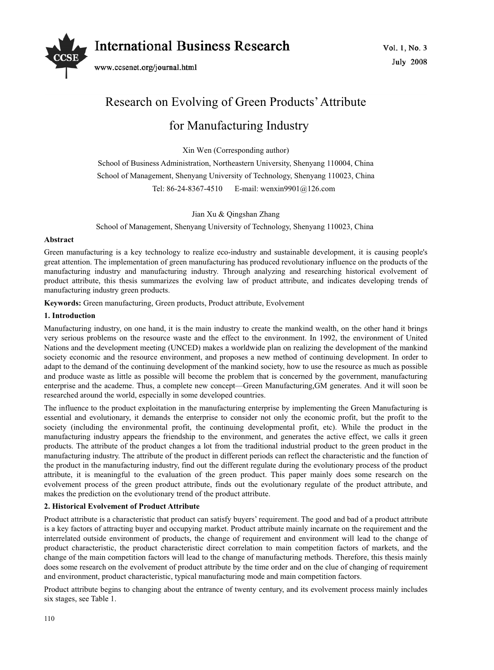

# Research on Evolving of Green Products' Attribute

# for Manufacturing Industry

Xin Wen (Corresponding author)

School of Business Administration, Northeastern University, Shenyang 110004, China School of Management, Shenyang University of Technology, Shenyang 110023, China Tel: 86-24-8367-4510 E-mail: wenxin9901@126.com

Jian Xu & Qingshan Zhang

School of Management, Shenyang University of Technology, Shenyang 110023, China

# **Abstract**

Green manufacturing is a key technology to realize eco-industry and sustainable development, it is causing people's great attention. The implementation of green manufacturing has produced revolutionary influence on the products of the manufacturing industry and manufacturing industry. Through analyzing and researching historical evolvement of product attribute, this thesis summarizes the evolving law of product attribute, and indicates developing trends of manufacturing industry green products.

**Keywords:** Green manufacturing, Green products, Product attribute, Evolvement

# **1. Introduction**

Manufacturing industry, on one hand, it is the main industry to create the mankind wealth, on the other hand it brings very serious problems on the resource waste and the effect to the environment. In 1992, the environment of United Nations and the development meeting (UNCED) makes a worldwide plan on realizing the development of the mankind society economic and the resource environment, and proposes a new method of continuing development. In order to adapt to the demand of the continuing development of the mankind society, how to use the resource as much as possible and produce waste as little as possible will become the problem that is concerned by the government, manufacturing enterprise and the academe. Thus, a complete new concept—Green Manufacturing,GM generates. And it will soon be researched around the world, especially in some developed countries.

The influence to the product exploitation in the manufacturing enterprise by implementing the Green Manufacturing is essential and evolutionary, it demands the enterprise to consider not only the economic profit, but the profit to the society (including the environmental profit, the continuing developmental profit, etc). While the product in the manufacturing industry appears the friendship to the environment, and generates the active effect, we calls it green products. The attribute of the product changes a lot from the traditional industrial product to the green product in the manufacturing industry. The attribute of the product in different periods can reflect the characteristic and the function of the product in the manufacturing industry, find out the different regulate during the evolutionary process of the product attribute, it is meaningful to the evaluation of the green product. This paper mainly does some research on the evolvement process of the green product attribute, finds out the evolutionary regulate of the product attribute, and makes the prediction on the evolutionary trend of the product attribute.

# **2. Historical Evolvement of Product Attribute**

Product attribute is a characteristic that product can satisfy buyers' requirement. The good and bad of a product attribute is a key factors of attracting buyer and occupying market. Product attribute mainly incarnate on the requirement and the interrelated outside environment of products, the change of requirement and environment will lead to the change of product characteristic, the product characteristic direct correlation to main competition factors of markets, and the change of the main competition factors will lead to the change of manufacturing methods. Therefore, this thesis mainly does some research on the evolvement of product attribute by the time order and on the clue of changing of requirement and environment, product characteristic, typical manufacturing mode and main competition factors.

Product attribute begins to changing about the entrance of twenty century, and its evolvement process mainly includes six stages, see Table 1.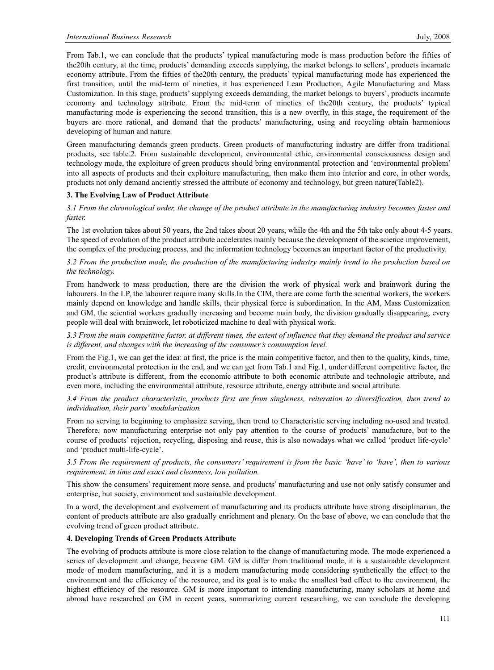From Tab.1, we can conclude that the products' typical manufacturing mode is mass production before the fifties of the20th century, at the time, products' demanding exceeds supplying, the market belongs to sellers', products incarnate economy attribute. From the fifties of the20th century, the products' typical manufacturing mode has experienced the first transition, until the mid-term of nineties, it has experienced Lean Production, Agile Manufacturing and Mass Customization. In this stage, products' supplying exceeds demanding, the market belongs to buyers', products incarnate economy and technology attribute. From the mid-term of nineties of the20th century, the products' typical manufacturing mode is experiencing the second transition, this is a new overfly, in this stage, the requirement of the buyers are more rational, and demand that the products' manufacturing, using and recycling obtain harmonious developing of human and nature.

Green manufacturing demands green products. Green products of manufacturing industry are differ from traditional products, see table.2. From sustainable development, environmental ethic, environmental consciousness design and technology mode, the exploiture of green products should bring environmental protection and 'environmental problem' into all aspects of products and their exploiture manufacturing, then make them into interior and core, in other words, products not only demand anciently stressed the attribute of economy and technology, but green nature(Table2).

# **3. The Evolving Law of Product Attribute**

*3.1 From the chronological order, the change of the product attribute in the manufacturing industry becomes faster and faster.* 

The 1st evolution takes about 50 years, the 2nd takes about 20 years, while the 4th and the 5th take only about 4-5 years. The speed of evolution of the product attribute accelerates mainly because the development of the science improvement, the complex of the producing process, and the information technology becomes an important factor of the productivity.

# *3.2 From the production mode, the production of the manufacturing industry mainly trend to the production based on the technology.*

From handwork to mass production, there are the division the work of physical work and brainwork during the labourers. In the LP, the labourer require many skills.In the CIM, there are come forth the sciential workers, the workers mainly depend on knowledge and handle skills, their physical force is subordination. In the AM, Mass Customization and GM, the sciential workers gradually increasing and become main body, the division gradually disappearing, every people will deal with brainwork, let roboticized machine to deal with physical work.

*3.3 From the main competitive factor, at different times, the extent of influence that they demand the product and service is different, and changes with the increasing of the consumer's consumption level.* 

From the Fig.1, we can get the idea: at first, the price is the main competitive factor, and then to the quality, kinds, time, credit, environmental protection in the end, and we can get from Tab.1 and Fig.1, under different competitive factor, the product's attribute is different, from the economic attribute to both economic attribute and technologic attribute, and even more, including the environmental attribute, resource attribute, energy attribute and social attribute.

# *3.4 From the product characteristic, products first are from singleness, reiteration to diversification, then trend to individuation, their parts' modularization.*

From no serving to beginning to emphasize serving, then trend to Characteristic serving including no-used and treated. Therefore, now manufacturing enterprise not only pay attention to the course of products' manufacture, but to the course of products' rejection, recycling, disposing and reuse, this is also nowadays what we called 'product life-cycle' and 'product multi-life-cycle'.

*3.5 From the requirement of products, the consumers' requirement is from the basic 'have' to 'have', then to various requirement, in time and exact and cleanness, low pollution.* 

This show the consumers' requirement more sense, and products' manufacturing and use not only satisfy consumer and enterprise, but society, environment and sustainable development.

In a word, the development and evolvement of manufacturing and its products attribute have strong disciplinarian, the content of products attribute are also gradually enrichment and plenary. On the base of above, we can conclude that the evolving trend of green product attribute.

#### **4. Developing Trends of Green Products Attribute**

The evolving of products attribute is more close relation to the change of manufacturing mode. The mode experienced a series of development and change, become GM. GM is differ from traditional mode, it is a sustainable development mode of modern manufacturing, and it is a modern manufacturing mode considering synthetically the effect to the environment and the efficiency of the resource, and its goal is to make the smallest bad effect to the environment, the highest efficiency of the resource. GM is more important to intending manufacturing, many scholars at home and abroad have researched on GM in recent years, summarizing current researching, we can conclude the developing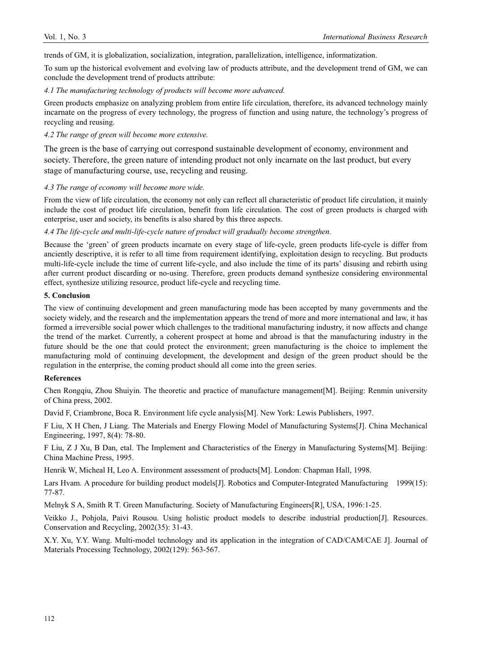trends of GM, it is globalization, socialization, integration, parallelization, intelligence, informatization.

To sum up the historical evolvement and evolving law of products attribute, and the development trend of GM, we can conclude the development trend of products attribute:

#### *4.1 The manufacturing technology of products will become more advanced.*

Green products emphasize on analyzing problem from entire life circulation, therefore, its advanced technology mainly incarnate on the progress of every technology, the progress of function and using nature, the technology's progress of recycling and reusing.

# *4.2 The range of green will become more extensive.*

The green is the base of carrying out correspond sustainable development of economy, environment and society. Therefore, the green nature of intending product not only incarnate on the last product, but every stage of manufacturing course, use, recycling and reusing.

# *4.3 The range of economy will become more wide.*

From the view of life circulation, the economy not only can reflect all characteristic of product life circulation, it mainly include the cost of product life circulation, benefit from life circulation. The cost of green products is charged with enterprise, user and society, its benefits is also shared by this three aspects.

# *4.4 The life-cycle and multi-life-cycle nature of product will gradually become strengthen.*

Because the 'green' of green products incarnate on every stage of life-cycle, green products life-cycle is differ from anciently descriptive, it is refer to all time from requirement identifying, exploitation design to recycling. But products multi-life-cycle include the time of current life-cycle, and also include the time of its parts' disusing and rebirth using after current product discarding or no-using. Therefore, green products demand synthesize considering environmental effect, synthesize utilizing resource, product life-cycle and recycling time.

# **5. Conclusion**

The view of continuing development and green manufacturing mode has been accepted by many governments and the society widely, and the research and the implementation appears the trend of more and more international and law, it has formed a irreversible social power which challenges to the traditional manufacturing industry, it now affects and change the trend of the market. Currently, a coherent prospect at home and abroad is that the manufacturing industry in the future should be the one that could protect the environment; green manufacturing is the choice to implement the manufacturing mold of continuing development, the development and design of the green product should be the regulation in the enterprise, the coming product should all come into the green series.

# **References**

Chen Rongqiu, Zhou Shuiyin. The theoretic and practice of manufacture management[M]. Beijing: Renmin university of China press, 2002.

David F, Criambrone, Boca R. Environment life cycle analysis[M]. New York: Lewis Publishers, 1997.

F Liu, X H Chen, J Liang. The Materials and Energy Flowing Model of Manufacturing Systems[J]. China Mechanical Engineering, 1997, 8(4): 78-80.

F Liu, Z J Xu, B Dan, etal. The Implement and Characteristics of the Energy in Manufacturing Systems[M]. Beijing: China Machine Press, 1995.

Henrik W, Micheal H, Leo A. Environment assessment of products[M]. London: Chapman Hall, 1998.

Lars Hvam. A procedure for building product models[J]. Robotics and Computer-Integrated Manufacturing 1999(15): 77-87.

Melnyk S A, Smith R T. Green Manufacturing. Society of Manufacturing Engineers[R], USA, 1996:1-25.

Veikko J., Pohjola, Paivi Rousou. Using holistic product models to describe industrial production[J]. Resources. Conservation and Recycling, 2002(35): 31-43.

X.Y. Xu, Y.Y. Wang. Multi-model technology and its application in the integration of CAD/CAM/CAE J]. Journal of Materials Processing Technology, 2002(129): 563-567.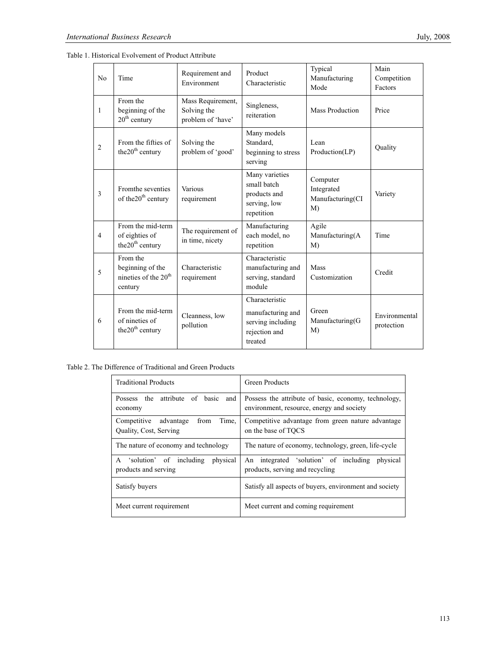|  | Table 1. Historical Evolvement of Product Attribute |
|--|-----------------------------------------------------|
|--|-----------------------------------------------------|

| N <sub>o</sub> | Time                                                                | Requirement and<br>Environment                        | Product<br>Characteristic                                                            | Typical<br>Manufacturing<br>Mode                 | Main<br>Competition<br>Factors |
|----------------|---------------------------------------------------------------------|-------------------------------------------------------|--------------------------------------------------------------------------------------|--------------------------------------------------|--------------------------------|
| 1              | From the<br>beginning of the<br>$20th$ century                      | Mass Requirement,<br>Solving the<br>problem of 'have' | Singleness,<br>reiteration                                                           | Mass Production                                  | Price                          |
| $\overline{2}$ | From the fifties of<br>the 20 <sup>th</sup> century                 | Solving the<br>problem of 'good'                      | Many models<br>Standard,<br>beginning to stress<br>serving                           | Lean<br>Production(LP)                           | Quality                        |
| 3              | From the seventies<br>of the 20 <sup>th</sup> century               | Various<br>requirement                                | Many varieties<br>small batch<br>products and<br>serving, low<br>repetition          | Computer<br>Integrated<br>Manufacturing(CI<br>M) | Variety                        |
| $\overline{4}$ | From the mid-term<br>of eighties of<br>the 20 <sup>th</sup> century | The requirement of<br>in time, nicety                 | Manufacturing<br>each model, no<br>repetition                                        | Agile<br>Manufacturing(A<br>M)                   | Time                           |
| 5              | From the<br>beginning of the<br>nineties of the $20th$<br>century   | Characteristic<br>requirement                         | Characteristic<br>manufacturing and<br>serving, standard<br>module                   | <b>Mass</b><br>Customization                     | Credit                         |
| 6              | From the mid-term<br>of nineties of<br>the $20th$ century           | Cleanness, low<br>pollution                           | Characteristic<br>manufacturing and<br>serving including<br>rejection and<br>treated | Green<br>Manufacturing(G<br>M)                   | Environmental<br>protection    |

Table 2. The Difference of Traditional and Green Products

| <b>Traditional Products</b>                                         | <b>Green Products</b>                                                                             |  |  |
|---------------------------------------------------------------------|---------------------------------------------------------------------------------------------------|--|--|
| attribute of basic<br>Possess the<br>and<br>economy                 | Possess the attribute of basic, economy, technology,<br>environment, resource, energy and society |  |  |
| Time.<br>Competitive<br>advantage<br>from<br>Quality, Cost, Serving | Competitive advantage from green nature advantage<br>on the base of TOCS                          |  |  |
| The nature of economy and technology                                | The nature of economy, technology, green, life-cycle                                              |  |  |
| solution of including<br>physical<br>A<br>products and serving      | An integrated 'solution' of including<br>physical<br>products, serving and recycling              |  |  |
| Satisfy buyers                                                      | Satisfy all aspects of buyers, environment and society                                            |  |  |
| Meet current requirement                                            | Meet current and coming requirement                                                               |  |  |